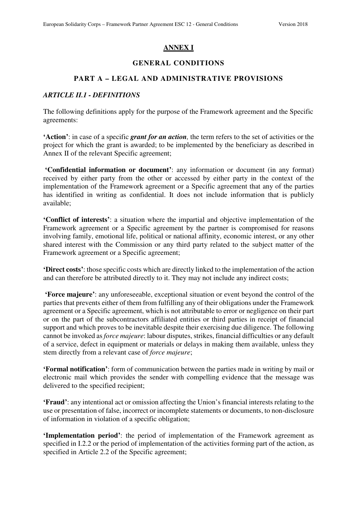# **ANNEX I**

## **GENERAL CONDITIONS**

### **PART A – LEGAL AND ADMINISTRATIVE PROVISIONS**

#### *ARTICLE II.1 - DEFINITIONS*

The following definitions apply for the purpose of the Framework agreement and the Specific agreements:

**'Action'**: in case of a specific *grant for an action,* the term refers to the set of activities or the project for which the grant is awarded; to be implemented by the beneficiary as described in Annex II of the relevant Specific agreement;

 **'Confidential information or document'**: any information or document (in any format) received by either party from the other or accessed by either party in the context of the implementation of the Framework agreement or a Specific agreement that any of the parties has identified in writing as confidential. It does not include information that is publicly available;

**'Conflict of interests'**: a situation where the impartial and objective implementation of the Framework agreement or a Specific agreement by the partner is compromised for reasons involving family, emotional life, political or national affinity, economic interest, or any other shared interest with the Commission or any third party related to the subject matter of the Framework agreement or a Specific agreement;

**'Direct costs'**: those specific costs which are directly linked to the implementation of the action and can therefore be attributed directly to it. They may not include any indirect costs;

 **'Force majeure'**: any unforeseeable, exceptional situation or event beyond the control of the parties that prevents either of them from fulfilling any of their obligations under the Framework agreement or a Specific agreement, which is not attributable to error or negligence on their part or on the part of the subcontractors affiliated entities or third parties in receipt of financial support and which proves to be inevitable despite their exercising due diligence. The following cannot be invoked as *force majeure*: labour disputes, strikes, financial difficulties or any default of a service, defect in equipment or materials or delays in making them available, unless they stem directly from a relevant case of *force majeure*;

**'Formal notification'**: form of communication between the parties made in writing by mail or electronic mail which provides the sender with compelling evidence that the message was delivered to the specified recipient;

**'Fraud'**: any intentional act or omission affecting the Union's financial interests relating to the use or presentation of false, incorrect or incomplete statements or documents, to non-disclosure of information in violation of a specific obligation;

**'Implementation period'**: the period of implementation of the Framework agreement as specified in I.2.2 or the period of implementation of the activities forming part of the action, as specified in Article 2.2 of the Specific agreement;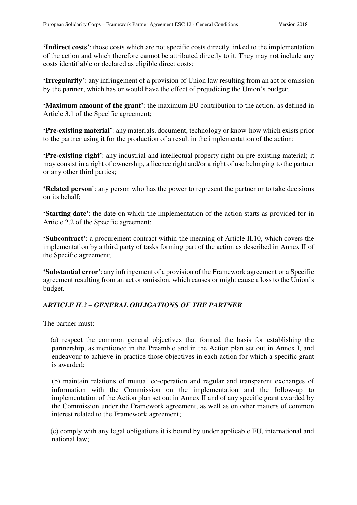**'Indirect costs'**: those costs which are not specific costs directly linked to the implementation of the action and which therefore cannot be attributed directly to it. They may not include any costs identifiable or declared as eligible direct costs;

**'Irregularity'**: any infringement of a provision of Union law resulting from an act or omission by the partner, which has or would have the effect of prejudicing the Union's budget;

**'Maximum amount of the grant'**: the maximum EU contribution to the action, as defined in Article 3.1 of the Specific agreement;

**'Pre-existing material'**: any materials, document, technology or know-how which exists prior to the partner using it for the production of a result in the implementation of the action;

**'Pre-existing right'**: any industrial and intellectual property right on pre-existing material; it may consist in a right of ownership, a licence right and/or a right of use belonging to the partner or any other third parties;

**'Related person**': any person who has the power to represent the partner or to take decisions on its behalf;

**'Starting date'**: the date on which the implementation of the action starts as provided for in Article 2.2 of the Specific agreement;

**'Subcontract'**: a procurement contract within the meaning of Article II.10, which covers the implementation by a third party of tasks forming part of the action as described in Annex II of the Specific agreement;

**'Substantial error'**: any infringement of a provision of the Framework agreement or a Specific agreement resulting from an act or omission, which causes or might cause a loss to the Union's budget.

# *ARTICLE II.2 – GENERAL OBLIGATIONS OF THE PARTNER*

The partner must:

 (a) respect the common general objectives that formed the basis for establishing the partnership, as mentioned in the Preamble and in the Action plan set out in Annex I, and endeavour to achieve in practice those objectives in each action for which a specific grant is awarded;

 (b) maintain relations of mutual co-operation and regular and transparent exchanges of information with the Commission on the implementation and the follow-up to implementation of the Action plan set out in Annex II and of any specific grant awarded by the Commission under the Framework agreement, as well as on other matters of common interest related to the Framework agreement;

 (c) comply with any legal obligations it is bound by under applicable EU, international and national law;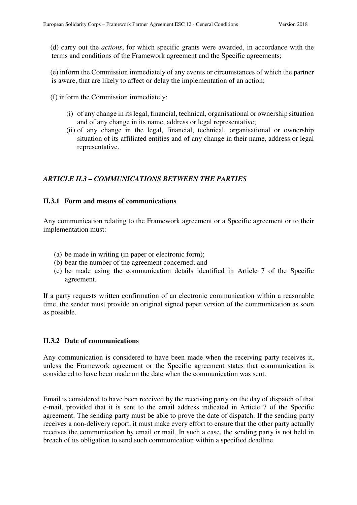(d) carry out the *actions*, for which specific grants were awarded, in accordance with the terms and conditions of the Framework agreement and the Specific agreements;

 (e) inform the Commission immediately of any events or circumstances of which the partner is aware, that are likely to affect or delay the implementation of an action;

(f) inform the Commission immediately:

- (i) of any change in its legal, financial, technical, organisational or ownership situation and of any change in its name, address or legal representative;
- (ii) of any change in the legal, financial, technical, organisational or ownership situation of its affiliated entities and of any change in their name, address or legal representative.

## *ARTICLE II.3 – COMMUNICATIONS BETWEEN THE PARTIES*

### **II.3.1 Form and means of communications**

Any communication relating to the Framework agreement or a Specific agreement or to their implementation must:

- (a) be made in writing (in paper or electronic form);
- (b) bear the number of the agreement concerned; and
- (c) be made using the communication details identified in Article 7 of the Specific agreement.

If a party requests written confirmation of an electronic communication within a reasonable time, the sender must provide an original signed paper version of the communication as soon as possible.

### **II.3.2 Date of communications**

Any communication is considered to have been made when the receiving party receives it, unless the Framework agreement or the Specific agreement states that communication is considered to have been made on the date when the communication was sent.

Email is considered to have been received by the receiving party on the day of dispatch of that e-mail, provided that it is sent to the email address indicated in Article 7 of the Specific agreement. The sending party must be able to prove the date of dispatch. If the sending party receives a non-delivery report, it must make every effort to ensure that the other party actually receives the communication by email or mail. In such a case, the sending party is not held in breach of its obligation to send such communication within a specified deadline.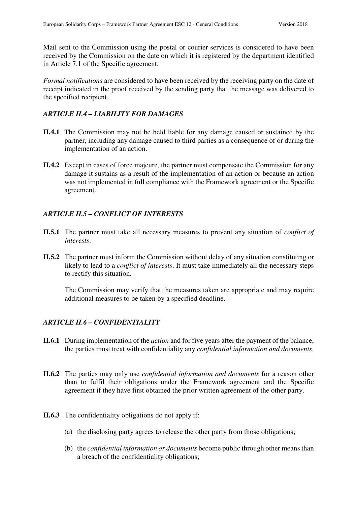Mail sent to the Commission using the postal or courier services is considered to have been received by the Commission on the date on which it is registered by the department identified in Article 7.1 of the Specific agreement.

*Formal notifications* are considered to have been received by the receiving party on the date of receipt indicated in the proof received by the sending party that the message was delivered to the specified recipient.

# *ARTICLE II.4 – LIABILITY FOR DAMAGES*

- **II.4.1** The Commission may not be held liable for any damage caused or sustained by the partner, including any damage caused to third parties as a consequence of or during the implementation of an action.
- **II.4.2** Except in cases of force majeure, the partner must compensate the Commission for any damage it sustains as a result of the implementation of an action or because an action was not implemented in full compliance with the Framework agreement or the Specific agreement.

# *ARTICLE II.5 – CONFLICT OF INTERESTS*

- **II.5.1** The partner must take all necessary measures to prevent any situation of *conflict of interests*.
- **II.5.2** The partner must inform the Commission without delay of any situation constituting or likely to lead to a *conflict of interests*. It must take immediately all the necessary steps to rectify this situation.

The Commission may verify that the measures taken are appropriate and may require additional measures to be taken by a specified deadline.

# *ARTICLE II.6 – CONFIDENTIALITY*

- **II.6.1** During implementation of the *action* and for five years after the payment of the balance, the parties must treat with confidentiality any *confidential information and documents*.
- **II.6.2** The parties may only use *confidential information and documents* for a reason other than to fulfil their obligations under the Framework agreement and the Specific agreement if they have first obtained the prior written agreement of the other party.
- **II.6.3** The confidentiality obligations do not apply if:
	- (a) the disclosing party agrees to release the other party from those obligations;
	- (b) the *confidential information or documents* become public through other means than a breach of the confidentiality obligations;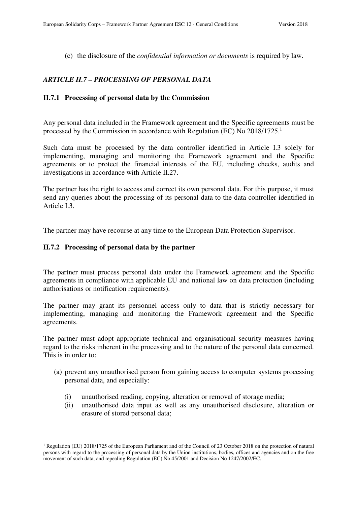(c) the disclosure of the *confidential information or documents* is required by law.

# *ARTICLE II.7 – PROCESSING OF PERSONAL DATA*

#### **II.7.1 Processing of personal data by the Commission**

Any personal data included in the Framework agreement and the Specific agreements must be processed by the Commission in accordance with Regulation (EC) No 2018/1725.<sup>1</sup>

Such data must be processed by the data controller identified in Article I.3 solely for implementing, managing and monitoring the Framework agreement and the Specific agreements or to protect the financial interests of the EU, including checks, audits and investigations in accordance with Article II.27.

The partner has the right to access and correct its own personal data. For this purpose, it must send any queries about the processing of its personal data to the data controller identified in Article I.3.

The partner may have recourse at any time to the European Data Protection Supervisor.

#### **II.7.2 Processing of personal data by the partner**

 $\overline{a}$ 

The partner must process personal data under the Framework agreement and the Specific agreements in compliance with applicable EU and national law on data protection (including authorisations or notification requirements).

The partner may grant its personnel access only to data that is strictly necessary for implementing, managing and monitoring the Framework agreement and the Specific agreements.

The partner must adopt appropriate technical and organisational security measures having regard to the risks inherent in the processing and to the nature of the personal data concerned. This is in order to:

- (a) prevent any unauthorised person from gaining access to computer systems processing personal data, and especially:
	- (i) unauthorised reading, copying, alteration or removal of storage media;
	- (ii) unauthorised data input as well as any unauthorised disclosure, alteration or erasure of stored personal data;

<sup>&</sup>lt;sup>1</sup> Regulation (EU) 2018/1725 of the European Parliament and of the Council of 23 October 2018 on the protection of natural persons with regard to the processing of personal data by the Union institutions, bodies, offices and agencies and on the free movement of such data, and repealing Regulation (EC) No 45/2001 and Decision No 1247/2002/EC.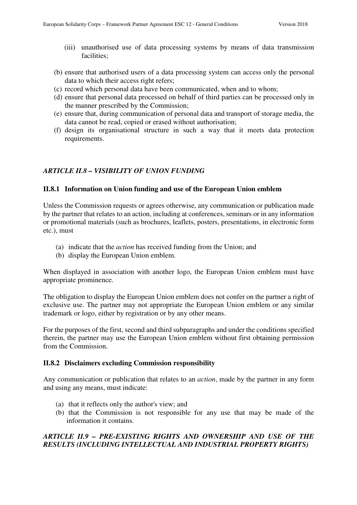- (iii) unauthorised use of data processing systems by means of data transmission facilities;
- (b) ensure that authorised users of a data processing system can access only the personal data to which their access right refers;
- (c) record which personal data have been communicated, when and to whom;
- (d) ensure that personal data processed on behalf of third parties can be processed only in the manner prescribed by the Commission;
- (e) ensure that, during communication of personal data and transport of storage media, the data cannot be read, copied or erased without authorisation;
- (f) design its organisational structure in such a way that it meets data protection requirements.

### *ARTICLE II.8 – VISIBILITY OF UNION FUNDING*

#### **II.8.1 Information on Union funding and use of the European Union emblem**

Unless the Commission requests or agrees otherwise, any communication or publication made by the partner that relates to an action, including at conferences, seminars or in any information or promotional materials (such as brochures, leaflets, posters, presentations, in electronic form etc.), must

- (a) indicate that the *action* has received funding from the Union; and
- (b) display the European Union emblem.

When displayed in association with another logo, the European Union emblem must have appropriate prominence.

The obligation to display the European Union emblem does not confer on the partner a right of exclusive use. The partner may not appropriate the European Union emblem or any similar trademark or logo, either by registration or by any other means.

For the purposes of the first, second and third subparagraphs and under the conditions specified therein, the partner may use the European Union emblem without first obtaining permission from the Commission.

#### **II.8.2 Disclaimers excluding Commission responsibility**

Any communication or publication that relates to an *action*, made by the partner in any form and using any means, must indicate:

- (a) that it reflects only the author's view; and
- (b) that the Commission is not responsible for any use that may be made of the information it contains.

# *ARTICLE II.9 – PRE-EXISTING RIGHTS AND OWNERSHIP AND USE OF THE RESULTS (INCLUDING INTELLECTUAL AND INDUSTRIAL PROPERTY RIGHTS)*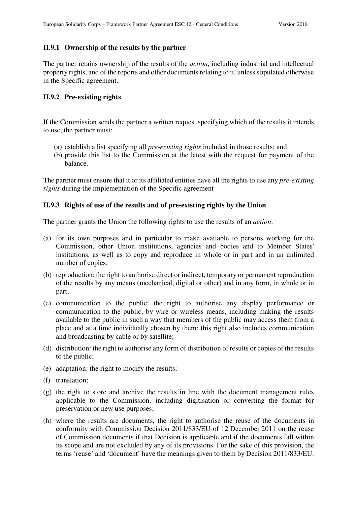#### **II.9.1 Ownership of the results by the partner**

The partner retains ownership of the results of the *action*, including industrial and intellectual property rights, and of the reports and other documents relating to it, unless stipulated otherwise in the Specific agreement.

#### **II.9.2 Pre-existing rights**

If the Commission sends the partner a written request specifying which of the results it intends to use, the partner must:

- (a) establish a list specifying all *pre-existing rights* included in those results; and
- (b) provide this list to the Commission at the latest with the request for payment of the balance.

The partner must ensure that it or its affiliated entities have all the rights to use any *pre-existing rights* during the implementation of the Specific agreement

#### **II.9.3 Rights of use of the results and of pre-existing rights by the Union**

The partner grants the Union the following rights to use the results of an *action*:

- (a) for its own purposes and in particular to make available to persons working for the Commission, other Union institutions, agencies and bodies and to Member States' institutions, as well as to copy and reproduce in whole or in part and in an unlimited number of copies;
- (b) reproduction: the right to authorise direct or indirect, temporary or permanent reproduction of the results by any means (mechanical, digital or other) and in any form, in whole or in part;
- (c) communication to the public: the right to authorise any display performance or communication to the public, by wire or wireless means, including making the results available to the public in such a way that members of the public may access them from a place and at a time individually chosen by them; this right also includes communication and broadcasting by cable or by satellite;
- (d) distribution: the right to authorise any form of distribution of results or copies of the results to the public;
- (e) adaptation: the right to modify the results;
- (f) translation;
- (g) the right to store and archive the results in line with the document management rules applicable to the Commission, including digitisation or converting the format for preservation or new use purposes;
- (h) where the results are documents, the right to authorise the reuse of the documents in conformity with Commission Decision 2011/833/EU of 12 December 2011 on the reuse of Commission documents if that Decision is applicable and if the documents fall within its scope and are not excluded by any of its provisions. For the sake of this provision, the terms 'reuse' and 'document' have the meanings given to them by Decision 2011/833/EU.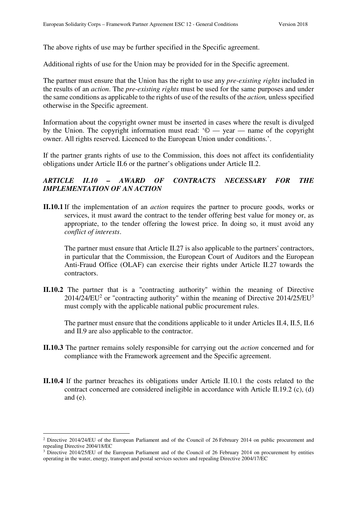The above rights of use may be further specified in the Specific agreement.

Additional rights of use for the Union may be provided for in the Specific agreement.

The partner must ensure that the Union has the right to use any *pre-existing rights* included in the results of an *action*. The *pre-existing rights* must be used for the same purposes and under the same conditions as applicable to the rights of use of the results of the *action,* unless specified otherwise in the Specific agreement.

Information about the copyright owner must be inserted in cases where the result is divulged by the Union. The copyright information must read:  $\degree$   $\degree$   $\degree$   $\degree$   $\degree$   $\degree$   $\degree$  annes of the copyright owner. All rights reserved. Licenced to the European Union under conditions.'.

If the partner grants rights of use to the Commission, this does not affect its confidentiality obligations under Article II.6 or the partner's obligations under Article II.2.

# *ARTICLE II.10 – AWARD OF CONTRACTS NECESSARY FOR THE IMPLEMENTATION OF AN ACTION*

**II.10.1** If the implementation of an *action* requires the partner to procure goods, works or services, it must award the contract to the tender offering best value for money or, as appropriate, to the tender offering the lowest price. In doing so, it must avoid any *conflict of interests*.

 The partner must ensure that Article II.27 is also applicable to the partners' contractors, in particular that the Commission, the European Court of Auditors and the European Anti-Fraud Office (OLAF) can exercise their rights under Article II.27 towards the contractors.

**II.10.2** The partner that is a "contracting authority" within the meaning of Directive  $2014/24/EU<sup>2</sup>$  or "contracting authority" within the meaning of Directive  $2014/25/EU<sup>3</sup>$ must comply with the applicable national public procurement rules.

The partner must ensure that the conditions applicable to it under Articles II.4, II.5, II.6 and II.9 are also applicable to the contractor.

- **II.10.3** The partner remains solely responsible for carrying out the *action* concerned and for compliance with the Framework agreement and the Specific agreement.
- **II.10.4** If the partner breaches its obligations under Article II.10.1 the costs related to the contract concerned are considered ineligible in accordance with Article II.19.2 (c), (d) and (e).

 $\overline{a}$ 

<sup>&</sup>lt;sup>2</sup> Directive 2014/24/EU of the European Parliament and of the Council of 26 February 2014 on public procurement and repealing Directive 2004/18/EC

<sup>&</sup>lt;sup>3</sup> Directive 2014/25/EU of the European Parliament and of the Council of 26 February 2014 on procurement by entities operating in the water, energy, transport and postal services sectors and repealing Directive 2004/17/EC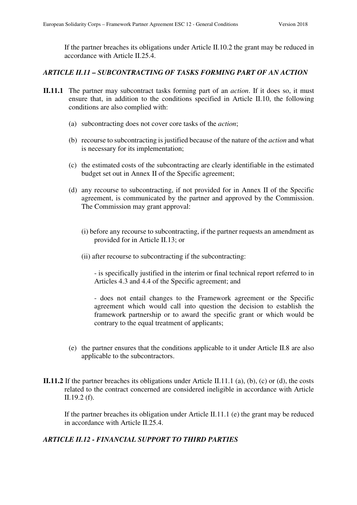If the partner breaches its obligations under Article II.10.2 the grant may be reduced in accordance with Article II.25.4.

### *ARTICLE II.11 – SUBCONTRACTING OF TASKS FORMING PART OF AN ACTION*

- **II.11.1** The partner may subcontract tasks forming part of an *action*. If it does so, it must ensure that, in addition to the conditions specified in Article II.10, the following conditions are also complied with:
	- (a) subcontracting does not cover core tasks of the *action*;
	- (b) recourse to subcontracting is justified because of the nature of the *action* and what is necessary for its implementation;
	- (c) the estimated costs of the subcontracting are clearly identifiable in the estimated budget set out in Annex II of the Specific agreement;
	- (d) any recourse to subcontracting, if not provided for in Annex II of the Specific agreement, is communicated by the partner and approved by the Commission. The Commission may grant approval:
		- (i) before any recourse to subcontracting, if the partner requests an amendment as provided for in Article II.13; or
		- (ii) after recourse to subcontracting if the subcontracting:

- is specifically justified in the interim or final technical report referred to in Articles 4.3 and 4.4 of the Specific agreement; and

- does not entail changes to the Framework agreement or the Specific agreement which would call into question the decision to establish the framework partnership or to award the specific grant or which would be contrary to the equal treatment of applicants;

- (e) the partner ensures that the conditions applicable to it under Article II.8 are also applicable to the subcontractors.
- **II.11.2** If the partner breaches its obligations under Article II.11.1 (a), (b), (c) or (d), the costs related to the contract concerned are considered ineligible in accordance with Article II.19.2 (f).

If the partner breaches its obligation under Article II.11.1 (e) the grant may be reduced in accordance with Article II.25.4.

# *ARTICLE II.12 - FINANCIAL SUPPORT TO THIRD PARTIES*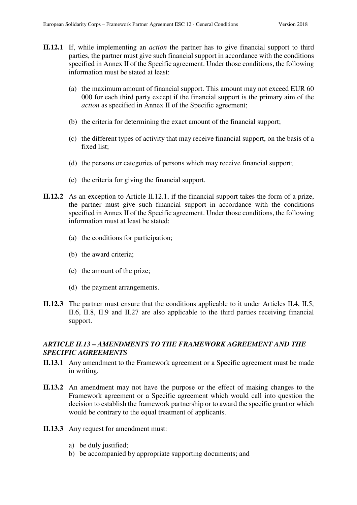- **II.12.1** If, while implementing an *action* the partner has to give financial support to third parties, the partner must give such financial support in accordance with the conditions specified in Annex II of the Specific agreement. Under those conditions, the following information must be stated at least:
	- (a) the maximum amount of financial support. This amount may not exceed EUR 60 000 for each third party except if the financial support is the primary aim of the *action* as specified in Annex II of the Specific agreement;
	- (b) the criteria for determining the exact amount of the financial support;
	- (c) the different types of activity that may receive financial support, on the basis of a fixed list;
	- (d) the persons or categories of persons which may receive financial support;
	- (e) the criteria for giving the financial support.
- **II.12.2** As an exception to Article II.12.1, if the financial support takes the form of a prize, the partner must give such financial support in accordance with the conditions specified in Annex II of the Specific agreement. Under those conditions, the following information must at least be stated:
	- (a) the conditions for participation;
	- (b) the award criteria;
	- (c) the amount of the prize;
	- (d) the payment arrangements.
- **II.12.3** The partner must ensure that the conditions applicable to it under Articles II.4, II.5, II.6, II.8, II.9 and II.27 are also applicable to the third parties receiving financial support.

# *ARTICLE II.13 – AMENDMENTS TO THE FRAMEWORK AGREEMENT AND THE SPECIFIC AGREEMENTS*

- **II.13.1** Any amendment to the Framework agreement or a Specific agreement must be made in writing.
- **II.13.2** An amendment may not have the purpose or the effect of making changes to the Framework agreement or a Specific agreement which would call into question the decision to establish the framework partnership or to award the specific grant or which would be contrary to the equal treatment of applicants.
- **II.13.3** Any request for amendment must:
	- a) be duly justified;
	- b) be accompanied by appropriate supporting documents; and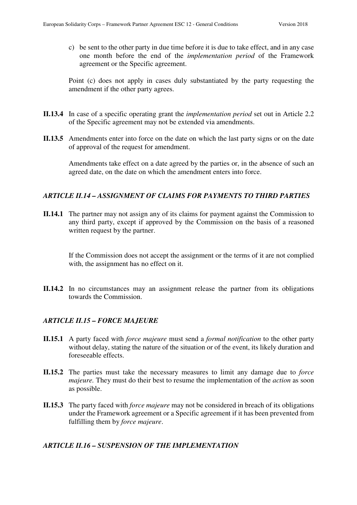c) be sent to the other party in due time before it is due to take effect, and in any case one month before the end of the *implementation period* of the Framework agreement or the Specific agreement.

Point (c) does not apply in cases duly substantiated by the party requesting the amendment if the other party agrees.

- **II.13.4** In case of a specific operating grant the *implementation period* set out in Article 2.2 of the Specific agreement may not be extended via amendments.
- **II.13.5** Amendments enter into force on the date on which the last party signs or on the date of approval of the request for amendment.

Amendments take effect on a date agreed by the parties or, in the absence of such an agreed date, on the date on which the amendment enters into force.

## *ARTICLE II.14 – ASSIGNMENT OF CLAIMS FOR PAYMENTS TO THIRD PARTIES*

**II.14.1** The partner may not assign any of its claims for payment against the Commission to any third party, except if approved by the Commission on the basis of a reasoned written request by the partner.

If the Commission does not accept the assignment or the terms of it are not complied with, the assignment has no effect on it.

**II.14.2** In no circumstances may an assignment release the partner from its obligations towards the Commission.

# *ARTICLE II.15 – FORCE MAJEURE*

- **II.15.1** A party faced with *force majeure* must send a *formal notification* to the other party without delay, stating the nature of the situation or of the event, its likely duration and foreseeable effects.
- **II.15.2** The parties must take the necessary measures to limit any damage due to *force majeure.* They must do their best to resume the implementation of the *action* as soon as possible.
- **II.15.3** The party faced with *force majeure* may not be considered in breach of its obligations under the Framework agreement or a Specific agreement if it has been prevented from fulfilling them by *force majeure*.

### *ARTICLE II.16 – SUSPENSION OF THE IMPLEMENTATION*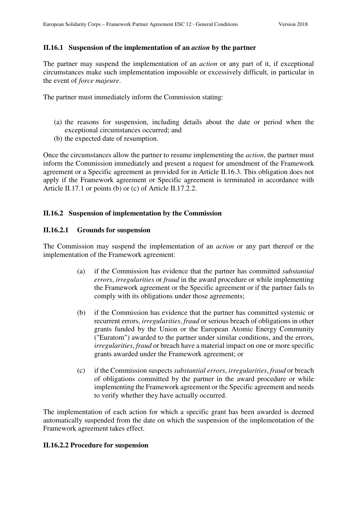# **II.16.1 Suspension of the implementation of an** *action* **by the partner**

The partner may suspend the implementation of an *action* or any part of it, if exceptional circumstances make such implementation impossible or excessively difficult, in particular in the event of *force majeure*.

The partner must immediately inform the Commission stating:

- (a) the reasons for suspension, including details about the date or period when the exceptional circumstances occurred; and
- (b) the expected date of resumption.

Once the circumstances allow the partner to resume implementing the *action*, the partner must inform the Commission immediately and present a request for amendment of the Framework agreement or a Specific agreement as provided for in Article II.16.3. This obligation does not apply if the Framework agreement or Specific agreement is terminated in accordance with Article II.17.1 or points (b) or (c) of Article II.17.2.2.

## **II.16.2 Suspension of implementation by the Commission**

## **II.16.2.1 Grounds for suspension**

The Commission may suspend the implementation of an *action* or any part thereof or the implementation of the Framework agreement:

- (a) if the Commission has evidence that the partner has committed *substantial errors*, *irregularities* or *fraud* in the award procedure or while implementing the Framework agreement or the Specific agreement or if the partner fails to comply with its obligations under those agreements;
- (b) if the Commission has evidence that the partner has committed systemic or recurrent errors, *irregularities*, *fraud* or serious breach of obligations in other grants funded by the Union or the European Atomic Energy Community ("Euratom") awarded to the partner under similar conditions, and the errors, *irregularities*, *fraud* or breach have a material impact on one or more specific grants awarded under the Framework agreement; or
- (c) if the Commission suspects *substantial errors*, *irregularities*, *fraud* or breach of obligations committed by the partner in the award procedure or while implementing the Framework agreement or the Specific agreement and needs to verify whether they have actually occurred.

The implementation of each action for which a specific grant has been awarded is deemed automatically suspended from the date on which the suspension of the implementation of the Framework agreement takes effect.

### **II.16.2.2 Procedure for suspension**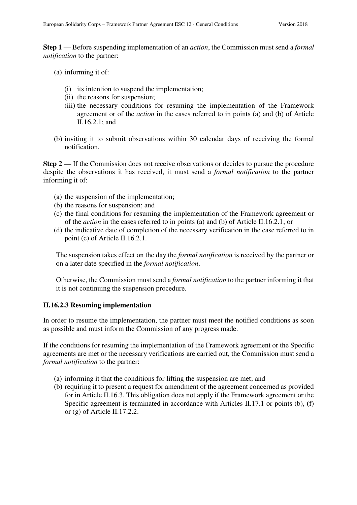**Step 1** — Before suspending implementation of an *action*, the Commission must send a *formal notification* to the partner:

- (a) informing it of:
	- (i) its intention to suspend the implementation;
	- (ii) the reasons for suspension;
	- (iii) the necessary conditions for resuming the implementation of the Framework agreement or of the *action* in the cases referred to in points (a) and (b) of Article II.16.2.1; and
- (b) inviting it to submit observations within 30 calendar days of receiving the formal notification.

**Step 2** — If the Commission does not receive observations or decides to pursue the procedure despite the observations it has received, it must send a *formal notification* to the partner informing it of:

- (a) the suspension of the implementation;
- (b) the reasons for suspension; and
- (c) the final conditions for resuming the implementation of the Framework agreement or of the *action* in the cases referred to in points (a) and (b) of Article II.16.2.1; or
- (d) the indicative date of completion of the necessary verification in the case referred to in point (c) of Article II.16.2.1.

The suspension takes effect on the day the *formal notification* is received by the partner or on a later date specified in the *formal notification*.

Otherwise, the Commission must send a *formal notification* to the partner informing it that it is not continuing the suspension procedure.

### **II.16.2.3 Resuming implementation**

In order to resume the implementation, the partner must meet the notified conditions as soon as possible and must inform the Commission of any progress made.

If the conditions for resuming the implementation of the Framework agreement or the Specific agreements are met or the necessary verifications are carried out, the Commission must send a *formal notification* to the partner:

- (a) informing it that the conditions for lifting the suspension are met; and
- (b) requiring it to present a request for amendment of the agreement concerned as provided for in Article II.16.3. This obligation does not apply if the Framework agreement or the Specific agreement is terminated in accordance with Articles II.17.1 or points (b), (f) or (g) of Article II.17.2.2.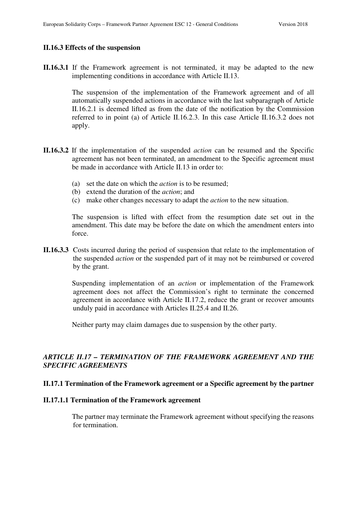#### **II.16.3 Effects of the suspension**

**II.16.3.1** If the Framework agreement is not terminated, it may be adapted to the new implementing conditions in accordance with Article II.13.

> The suspension of the implementation of the Framework agreement and of all automatically suspended actions in accordance with the last subparagraph of Article II.16.2.1 is deemed lifted as from the date of the notification by the Commission referred to in point (a) of Article II.16.2.3. In this case Article II.16.3.2 does not apply.

- **II.16.3.2** If the implementation of the suspended *action* can be resumed and the Specific agreement has not been terminated, an amendment to the Specific agreement must be made in accordance with Article II.13 in order to:
	- (a) set the date on which the *action* is to be resumed;
	- (b) extend the duration of the *action*; and
	- (c) make other changes necessary to adapt the *action* to the new situation.

The suspension is lifted with effect from the resumption date set out in the amendment. This date may be before the date on which the amendment enters into force.

**II.16.3.3** Costs incurred during the period of suspension that relate to the implementation of the suspended *action* or the suspended part of it may not be reimbursed or covered by the grant.

> Suspending implementation of an *action* or implementation of the Framework agreement does not affect the Commission's right to terminate the concerned agreement in accordance with Article II.17.2, reduce the grant or recover amounts unduly paid in accordance with Articles II.25.4 and II.26.

Neither party may claim damages due to suspension by the other party.

# *ARTICLE II.17 – TERMINATION OF THE FRAMEWORK AGREEMENT AND THE SPECIFIC AGREEMENTS*

### **II.17.1 Termination of the Framework agreement or a Specific agreement by the partner**

#### **II.17.1.1 Termination of the Framework agreement**

The partner may terminate the Framework agreement without specifying the reasons for termination.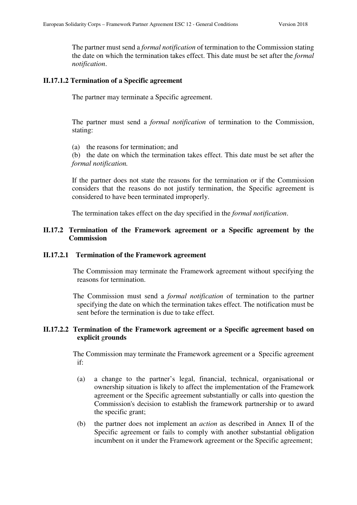The partner must send a *formal notification* of termination to the Commission stating the date on which the termination takes effect. This date must be set after the *formal notification*.

#### **II.17.1.2 Termination of a Specific agreement**

The partner may terminate a Specific agreement.

The partner must send a *formal notification* of termination to the Commission, stating:

(a) the reasons for termination; and

(b) the date on which the termination takes effect. This date must be set after the *formal notification.*

If the partner does not state the reasons for the termination or if the Commission considers that the reasons do not justify termination, the Specific agreement is considered to have been terminated improperly.

The termination takes effect on the day specified in the *formal notification*.

### **II.17.2 Termination of the Framework agreement or a Specific agreement by the Commission**

#### **II.17.2.1 Termination of the Framework agreement**

The Commission may terminate the Framework agreement without specifying the reasons for termination.

 The Commission must send a *formal notification* of termination to the partner specifying the date on which the termination takes effect. The notification must be sent before the termination is due to take effect.

### **II.17.2.2 Termination of the Framework agreement or a Specific agreement based on explicit** g**rounds**

The Commission may terminate the Framework agreement or a Specific agreement if:

- (a) a change to the partner's legal, financial, technical, organisational or ownership situation is likely to affect the implementation of the Framework agreement or the Specific agreement substantially or calls into question the Commission's decision to establish the framework partnership or to award the specific grant;
- (b) the partner does not implement an *action* as described in Annex II of the Specific agreement or fails to comply with another substantial obligation incumbent on it under the Framework agreement or the Specific agreement;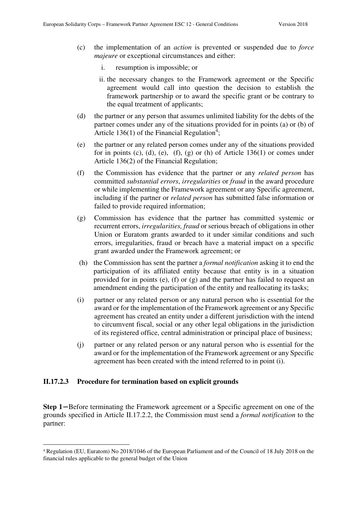- (c) the implementation of an *action* is prevented or suspended due to *force majeure* or exceptional circumstances and either:
	- i. resumption is impossible; or
	- ii. the necessary changes to the Framework agreement or the Specific agreement would call into question the decision to establish the framework partnership or to award the specific grant or be contrary to the equal treatment of applicants;
- (d) the partner or any person that assumes unlimited liability for the debts of the partner comes under any of the situations provided for in points (a) or (b) of Article 136(1) of the Financial Regulation<sup>4</sup>;
- (e) the partner or any related person comes under any of the situations provided for in points (c), (d), (e), (f), (g) or (h) of Article  $136(1)$  or comes under Article 136(2) of the Financial Regulation;
- (f) the Commission has evidence that the partner or any *related person* has committed *substantial errors*, *irregularities* or *fraud* in the award procedure or while implementing the Framework agreement or any Specific agreement, including if the partner or *related person* has submitted false information or failed to provide required information;
- (g) Commission has evidence that the partner has committed systemic or recurrent errors, *irregularities, fraud* or serious breach of obligations in other Union or Euratom grants awarded to it under similar conditions and such errors, irregularities, fraud or breach have a material impact on a specific grant awarded under the Framework agreement; or
- (h) the Commission has sent the partner a *formal notification* asking it to end the participation of its affiliated entity because that entity is in a situation provided for in points (e), (f) or (g) and the partner has failed to request an amendment ending the participation of the entity and reallocating its tasks;
- (i) partner or any related person or any natural person who is essential for the award or for the implementation of the Framework agreement or any Specific agreement has created an entity under a different jurisdiction with the intend to circumvent fiscal, social or any other legal obligations in the jurisdiction of its registered office, central administration or principal place of business;
- (j) partner or any related person or any natural person who is essential for the award or for the implementation of the Framework agreement or any Specific agreement has been created with the intend referred to in point (i).

### **II.17.2.3 Procedure for termination based on explicit grounds**

 $\overline{a}$ 

**Step 1**− Before terminating the Framework agreement or a Specific agreement on one of the grounds specified in Article II.17.2.2, the Commission must send a *formal notification* to the partner:

<sup>4</sup> Regulation (EU, Euratom) No 2018/1046 of the European Parliament and of the Council of 18 July 2018 on the financial rules applicable to the general budget of the Union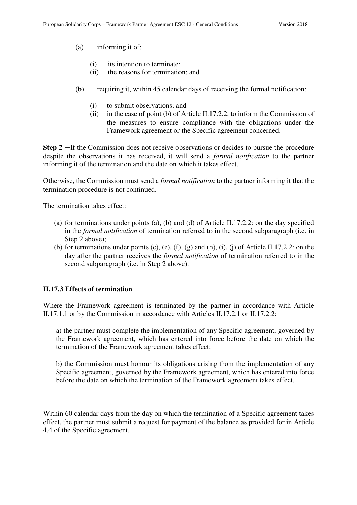- (a) informing it of:
	- (i) its intention to terminate;
	- (ii) the reasons for termination; and
- (b) requiring it, within 45 calendar days of receiving the formal notification:
	- (i) to submit observations; and
	- (ii) in the case of point (b) of Article II.17.2.2, to inform the Commission of the measures to ensure compliance with the obligations under the Framework agreement or the Specific agreement concerned.

**Step 2** − If the Commission does not receive observations or decides to pursue the procedure despite the observations it has received, it will send a *formal notification* to the partner informing it of the termination and the date on which it takes effect.

Otherwise, the Commission must send a *formal notification* to the partner informing it that the termination procedure is not continued.

The termination takes effect:

- (a) for terminations under points (a), (b) and (d) of Article II.17.2.2: on the day specified in the *formal notification* of termination referred to in the second subparagraph (i.e. in Step 2 above);
- (b) for terminations under points (c), (e), (f), (g) and (h), (i), (j) of Article II.17.2.2: on the day after the partner receives the *formal notification* of termination referred to in the second subparagraph (i.e. in Step 2 above).

### **II.17.3 Effects of termination**

Where the Framework agreement is terminated by the partner in accordance with Article II.17.1.1 or by the Commission in accordance with Articles II.17.2.1 or II.17.2.2:

a) the partner must complete the implementation of any Specific agreement, governed by the Framework agreement, which has entered into force before the date on which the termination of the Framework agreement takes effect;

b) the Commission must honour its obligations arising from the implementation of any Specific agreement, governed by the Framework agreement, which has entered into force before the date on which the termination of the Framework agreement takes effect.

Within 60 calendar days from the day on which the termination of a Specific agreement takes effect, the partner must submit a request for payment of the balance as provided for in Article 4.4 of the Specific agreement.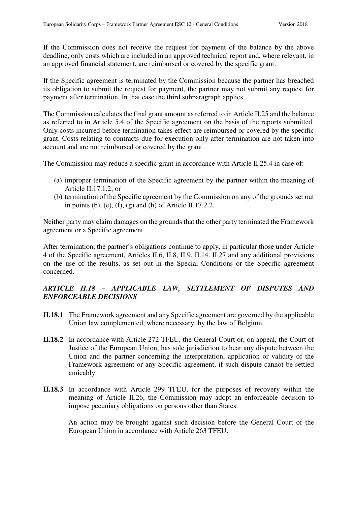If the Commission does not receive the request for payment of the balance by the above deadline, only costs which are included in an approved technical report and, where relevant, in an approved financial statement, are reimbursed or covered by the specific grant.

If the Specific agreement is terminated by the Commission because the partner has breached its obligation to submit the request for payment, the partner may not submit any request for payment after termination. In that case the third subparagraph applies.

The Commission calculates the final grant amount as referred to in Article II.25 and the balance as referred to in Article 5.4 of the Specific agreement on the basis of the reports submitted. Only costs incurred before termination takes effect are reimbursed or covered by the specific grant. Costs relating to contracts due for execution only after termination are not taken into account and are not reimbursed or covered by the grant.

The Commission may reduce a specific grant in accordance with Article II.25.4 in case of:

- (a) improper termination of the Specific agreement by the partner within the meaning of Article II.17.1.2; or
- (b) termination of the Specific agreement by the Commission on any of the grounds set out in points (b), (e), (f), (g) and (h) of Article II.17.2.2.

Neither party may claim damages on the grounds that the other party terminated the Framework agreement or a Specific agreement.

After termination, the partner's obligations continue to apply, in particular those under Article 4 of the Specific agreement, Articles II.6, II.8, II.9, II.14. II.27 and any additional provisions on the use of the results, as set out in the Special Conditions or the Specific agreement concerned.

# *ARTICLE II.18 – APPLICABLE LAW, SETTLEMENT OF DISPUTES AND ENFORCEABLE DECISIONS*

- **II.18.1** The Framework agreement and any Specific agreement are governed by the applicable Union law complemented, where necessary, by the law of Belgium.
- **II.18.2** In accordance with Article 272 TFEU, the General Court or, on appeal, the Court of Justice of the European Union, has sole jurisdiction to hear any dispute between the Union and the partner concerning the interpretation, application or validity of the Framework agreement or any Specific agreement, if such dispute cannot be settled amicably.
- **II.18.3** In accordance with Article 299 TFEU, for the purposes of recovery within the meaning of Article II.26, the Commission may adopt an enforceable decision to impose pecuniary obligations on persons other than States.

An action may be brought against such decision before the General Court of the European Union in accordance with Article 263 TFEU.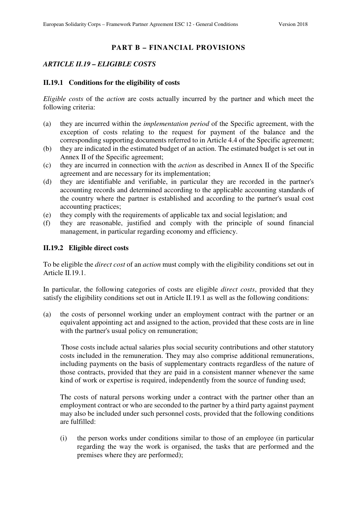# **PART B – FINANCIAL PROVISIONS**

### *ARTICLE II.19 – ELIGIBLE COSTS*

#### **II.19.1 Conditions for the eligibility of costs**

*Eligible costs* of the *action* are costs actually incurred by the partner and which meet the following criteria:

- (a) they are incurred within the *implementation period* of the Specific agreement, with the exception of costs relating to the request for payment of the balance and the corresponding supporting documents referred to in Article 4.4 of the Specific agreement;
- (b) they are indicated in the estimated budget of an action. The estimated budget is set out in Annex II of the Specific agreement;
- (c) they are incurred in connection with the *action* as described in Annex II of the Specific agreement and are necessary for its implementation;
- (d) they are identifiable and verifiable, in particular they are recorded in the partner's accounting records and determined according to the applicable accounting standards of the country where the partner is established and according to the partner's usual cost accounting practices;
- (e) they comply with the requirements of applicable tax and social legislation; and
- (f) they are reasonable, justified and comply with the principle of sound financial management, in particular regarding economy and efficiency.

#### **II.19.2 Eligible direct costs**

To be eligible the *direct cost* of an *action* must comply with the eligibility conditions set out in Article II.19.1.

In particular, the following categories of costs are eligible *direct costs*, provided that they satisfy the eligibility conditions set out in Article II.19.1 as well as the following conditions:

(a) the costs of personnel working under an employment contract with the partner or an equivalent appointing act and assigned to the action, provided that these costs are in line with the partner's usual policy on remuneration;

Those costs include actual salaries plus social security contributions and other statutory costs included in the remuneration. They may also comprise additional remunerations, including payments on the basis of supplementary contracts regardless of the nature of those contracts, provided that they are paid in a consistent manner whenever the same kind of work or expertise is required, independently from the source of funding used;

The costs of natural persons working under a contract with the partner other than an employment contract or who are seconded to the partner by a third party against payment may also be included under such personnel costs, provided that the following conditions are fulfilled:

(i) the person works under conditions similar to those of an employee (in particular regarding the way the work is organised, the tasks that are performed and the premises where they are performed);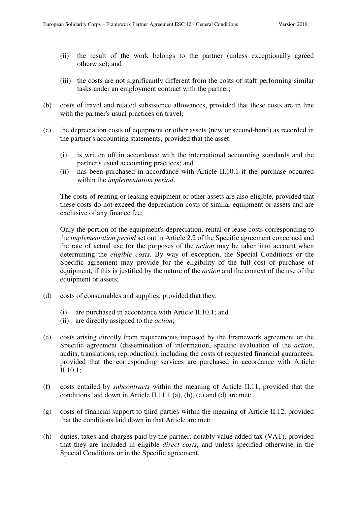- (ii) the result of the work belongs to the partner (unless exceptionally agreed otherwise); and
- (iii) the costs are not significantly different from the costs of staff performing similar tasks under an employment contract with the partner;
- (b) costs of travel and related subsistence allowances, provided that these costs are in line with the partner's usual practices on travel;
- (c) the depreciation costs of equipment or other assets (new or second-hand) as recorded in the partner's accounting statements, provided that the asset:
	- (i) is written off in accordance with the international accounting standards and the partner's usual accounting practices; and
	- (ii) has been purchased in accordance with Article II.10.1 if the purchase occurred within the *implementation period*.

The costs of renting or leasing equipment or other assets are also eligible, provided that these costs do not exceed the depreciation costs of similar equipment or assets and are exclusive of any finance fee;

Only the portion of the equipment's depreciation, rental or lease costs corresponding to the *implementation period* set out in Article 2.2 of the Specific agreement concerned and the rate of actual use for the purposes of the *action* may be taken into account when determining the *eligible costs*. By way of exception, the Special Conditions or the Specific agreement may provide for the eligibility of the full cost of purchase of equipment, if this is justified by the nature of the *action* and the context of the use of the equipment or assets;

- (d) costs of consumables and supplies, provided that they:
	- (i) are purchased in accordance with Article II.10.1; and
	- (ii) are directly assigned to the *action*;
- (e) costs arising directly from requirements imposed by the Framework agreement or the Specific agreement (dissemination of information, specific evaluation of the *action*, audits, translations, reproduction), including the costs of requested financial guarantees, provided that the corresponding services are purchased in accordance with Article II.10.1;
- (f) costs entailed by *subcontracts* within the meaning of Article II.11, provided that the conditions laid down in Article II.11.1 (a), (b), (c) and (d) are met;
- (g) costs of financial support to third parties within the meaning of Article II.12, provided that the conditions laid down in that Article are met;
- (h) duties, taxes and charges paid by the partner, notably value added tax (VAT), provided that they are included in eligible *direct costs*, and unless specified otherwise in the Special Conditions or in the Specific agreement.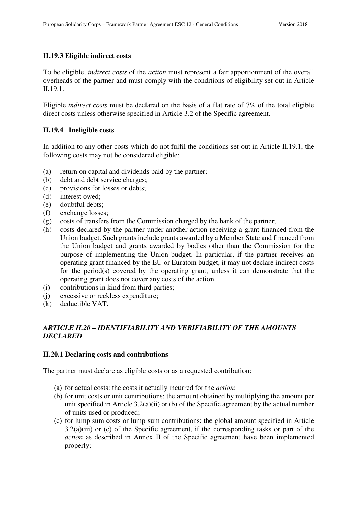### **II.19.3 Eligible indirect costs**

To be eligible, *indirect costs* of the *action* must represent a fair apportionment of the overall overheads of the partner and must comply with the conditions of eligibility set out in Article II.19.1.

Eligible *indirect costs* must be declared on the basis of a flat rate of 7% of the total eligible direct costs unless otherwise specified in Article 3.2 of the Specific agreement.

# **II.19.4 Ineligible costs**

In addition to any other costs which do not fulfil the conditions set out in Article II.19.1, the following costs may not be considered eligible:

- (a) return on capital and dividends paid by the partner;
- (b) debt and debt service charges;
- (c) provisions for losses or debts;
- (d) interest owed;
- (e) doubtful debts;
- (f) exchange losses;
- (g) costs of transfers from the Commission charged by the bank of the partner;
- (h) costs declared by the partner under another action receiving a grant financed from the Union budget. Such grants include grants awarded by a Member State and financed from the Union budget and grants awarded by bodies other than the Commission for the purpose of implementing the Union budget. In particular, if the partner receives an operating grant financed by the EU or Euratom budget, it may not declare indirect costs for the period(s) covered by the operating grant, unless it can demonstrate that the operating grant does not cover any costs of the action.
- (i) contributions in kind from third parties;
- (j) excessive or reckless expenditure;
- (k) deductible VAT.

# *ARTICLE II.20 – IDENTIFIABILITY AND VERIFIABILITY OF THE AMOUNTS DECLARED*

### **II.20.1 Declaring costs and contributions**

The partner must declare as eligible costs or as a requested contribution:

- (a) for actual costs: the costs it actually incurred for the *action*;
- (b) for unit costs or unit contributions: the amount obtained by multiplying the amount per unit specified in Article 3.2(a)(ii) or (b) of the Specific agreement by the actual number of units used or produced;
- (c) for lump sum costs or lump sum contributions: the global amount specified in Article 3.2(a)(iii) or (c) of the Specific agreement, if the corresponding tasks or part of the *action* as described in Annex II of the Specific agreement have been implemented properly;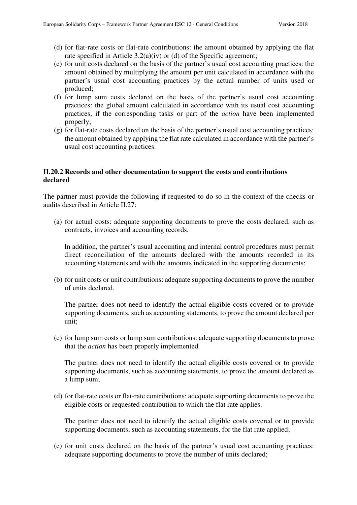- (d) for flat-rate costs or flat-rate contributions: the amount obtained by applying the flat rate specified in Article 3.2(a)(iv) or (d) of the Specific agreement;
- (e) for unit costs declared on the basis of the partner's usual cost accounting practices: the amount obtained by multiplying the amount per unit calculated in accordance with the partner's usual cost accounting practices by the actual number of units used or produced;
- (f) for lump sum costs declared on the basis of the partner's usual cost accounting practices: the global amount calculated in accordance with its usual cost accounting practices, if the corresponding tasks or part of the *action* have been implemented properly;
- (g) for flat-rate costs declared on the basis of the partner's usual cost accounting practices: the amount obtained by applying the flat rate calculated in accordance with the partner's usual cost accounting practices.

### **II.20.2 Records and other documentation to support the costs and contributions declared**

The partner must provide the following if requested to do so in the context of the checks or audits described in Article II.27:

(a) for actual costs: adequate supporting documents to prove the costs declared, such as contracts, invoices and accounting records.

In addition, the partner's usual accounting and internal control procedures must permit direct reconciliation of the amounts declared with the amounts recorded in its accounting statements and with the amounts indicated in the supporting documents;

(b) for unit costs or unit contributions: adequate supporting documents to prove the number of units declared.

The partner does not need to identify the actual eligible costs covered or to provide supporting documents, such as accounting statements, to prove the amount declared per unit;

(c) for lump sum costs or lump sum contributions: adequate supporting documents to prove that the *action* has been properly implemented.

The partner does not need to identify the actual eligible costs covered or to provide supporting documents, such as accounting statements, to prove the amount declared as a lump sum;

(d) for flat-rate costs or flat-rate contributions: adequate supporting documents to prove the eligible costs or requested contribution to which the flat rate applies.

The partner does not need to identify the actual eligible costs covered or to provide supporting documents, such as accounting statements, for the flat rate applied;

(e) for unit costs declared on the basis of the partner's usual cost accounting practices: adequate supporting documents to prove the number of units declared;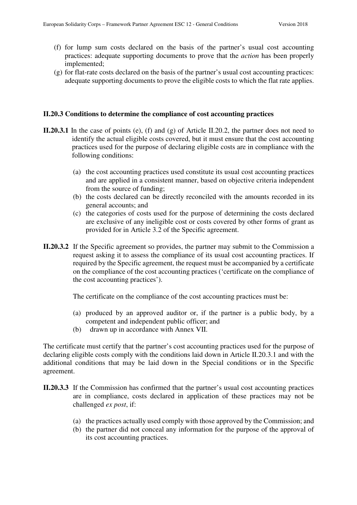- (f) for lump sum costs declared on the basis of the partner's usual cost accounting practices: adequate supporting documents to prove that the *action* has been properly implemented;
- (g) for flat-rate costs declared on the basis of the partner's usual cost accounting practices: adequate supporting documents to prove the eligible costs to which the flat rate applies.

#### **II.20.3 Conditions to determine the compliance of cost accounting practices**

- **II.20.3.1** In the case of points (e), (f) and (g) of Article II.20.2, the partner does not need to identify the actual eligible costs covered, but it must ensure that the cost accounting practices used for the purpose of declaring eligible costs are in compliance with the following conditions:
	- (a) the cost accounting practices used constitute its usual cost accounting practices and are applied in a consistent manner, based on objective criteria independent from the source of funding;
	- (b) the costs declared can be directly reconciled with the amounts recorded in its general accounts; and
	- (c) the categories of costs used for the purpose of determining the costs declared are exclusive of any ineligible cost or costs covered by other forms of grant as provided for in Article 3.2 of the Specific agreement.
- **II.20.3.2** If the Specific agreement so provides, the partner may submit to the Commission a request asking it to assess the compliance of its usual cost accounting practices. If required by the Specific agreement, the request must be accompanied by a certificate on the compliance of the cost accounting practices ('certificate on the compliance of the cost accounting practices').

The certificate on the compliance of the cost accounting practices must be:

- (a) produced by an approved auditor or, if the partner is a public body, by a competent and independent public officer; and
- (b) drawn up in accordance with Annex VII.

The certificate must certify that the partner's cost accounting practices used for the purpose of declaring eligible costs comply with the conditions laid down in Article II.20.3.1 and with the additional conditions that may be laid down in the Special conditions or in the Specific agreement.

- **II.20.3.3** If the Commission has confirmed that the partner's usual cost accounting practices are in compliance, costs declared in application of these practices may not be challenged *ex post*, if:
	- (a) the practices actually used comply with those approved by the Commission; and
	- (b) the partner did not conceal any information for the purpose of the approval of its cost accounting practices.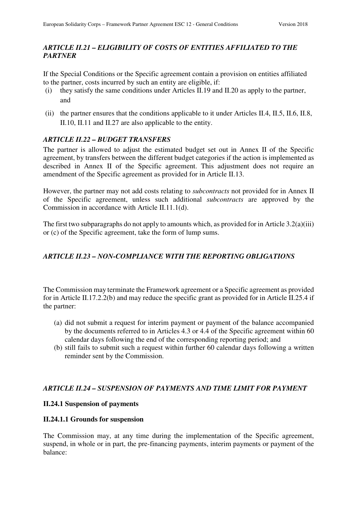# *ARTICLE II.21 – ELIGIBILITY OF COSTS OF ENTITIES AFFILIATED TO THE PARTNER*

If the Special Conditions or the Specific agreement contain a provision on entities affiliated to the partner, costs incurred by such an entity are eligible, if:

- (i) they satisfy the same conditions under Articles II.19 and II.20 as apply to the partner, and
- (ii) the partner ensures that the conditions applicable to it under Articles II.4, II.5, II.6, II.8, II.10, II.11 and II.27 are also applicable to the entity.

## *ARTICLE II.22 – BUDGET TRANSFERS*

The partner is allowed to adjust the estimated budget set out in Annex II of the Specific agreement, by transfers between the different budget categories if the action is implemented as described in Annex II of the Specific agreement. This adjustment does not require an amendment of the Specific agreement as provided for in Article II.13.

However, the partner may not add costs relating to *subcontracts* not provided for in Annex II of the Specific agreement, unless such additional *subcontracts* are approved by the Commission in accordance with Article II.11.1(d).

The first two subparagraphs do not apply to amounts which, as provided for in Article 3.2(a)(iii) or (c) of the Specific agreement, take the form of lump sums.

# *ARTICLE II.23 – NON-COMPLIANCE WITH THE REPORTING OBLIGATIONS*

The Commission may terminate the Framework agreement or a Specific agreement as provided for in Article II.17.2.2(b) and may reduce the specific grant as provided for in Article II.25.4 if the partner:

- (a) did not submit a request for interim payment or payment of the balance accompanied by the documents referred to in Articles 4.3 or 4.4 of the Specific agreement within 60 calendar days following the end of the corresponding reporting period; and
- (b) still fails to submit such a request within further 60 calendar days following a written reminder sent by the Commission.

### *ARTICLE II.24 – SUSPENSION OF PAYMENTS AND TIME LIMIT FOR PAYMENT*

### **II.24.1 Suspension of payments**

### **II.24.1.1 Grounds for suspension**

The Commission may, at any time during the implementation of the Specific agreement, suspend, in whole or in part, the pre-financing payments, interim payments or payment of the balance: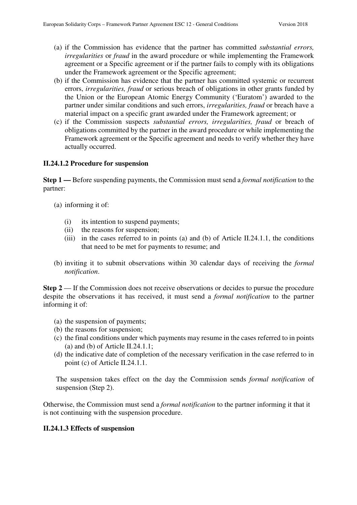- (a) if the Commission has evidence that the partner has committed *substantial errors, irregularities* or *fraud* in the award procedure or while implementing the Framework agreement or a Specific agreement or if the partner fails to comply with its obligations under the Framework agreement or the Specific agreement;
- (b) if the Commission has evidence that the partner has committed systemic or recurrent errors, *irregularities, fraud* or serious breach of obligations in other grants funded by the Union or the European Atomic Energy Community ('Euratom') awarded to the partner under similar conditions and such errors, *irregularities, fraud* or breach have a material impact on a specific grant awarded under the Framework agreement; or
- (c) if the Commission suspects *substantial errors, irregularities, fraud* or breach of obligations committed by the partner in the award procedure or while implementing the Framework agreement or the Specific agreement and needs to verify whether they have actually occurred.

### **II.24.1.2 Procedure for suspension**

**Step 1 —** Before suspending payments, the Commission must send a *formal notification* to the partner:

- (a) informing it of:
	- (i) its intention to suspend payments;
	- (ii) the reasons for suspension;
	- (iii) in the cases referred to in points (a) and (b) of Article II.24.1.1, the conditions that need to be met for payments to resume; and
- (b) inviting it to submit observations within 30 calendar days of receiving the *formal notification*.

**Step 2** — If the Commission does not receive observations or decides to pursue the procedure despite the observations it has received, it must send a *formal notification* to the partner informing it of:

- (a) the suspension of payments;
- (b) the reasons for suspension;
- (c) the final conditions under which payments may resume in the cases referred to in points (a) and (b) of Article II.24.1.1;
- (d) the indicative date of completion of the necessary verification in the case referred to in point (c) of Article II.24.1.1.

The suspension takes effect on the day the Commission sends *formal notification* of suspension (Step 2).

Otherwise, the Commission must send a *formal notification* to the partner informing it that it is not continuing with the suspension procedure.

#### **II.24.1.3 Effects of suspension**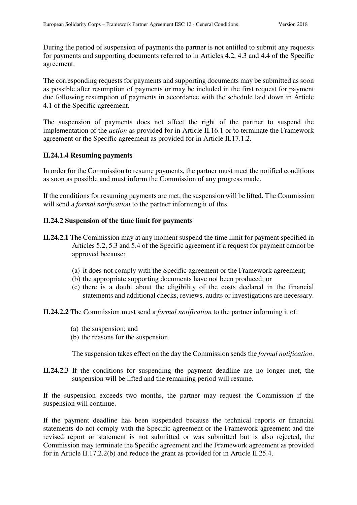During the period of suspension of payments the partner is not entitled to submit any requests for payments and supporting documents referred to in Articles 4.2, 4.3 and 4.4 of the Specific agreement.

The corresponding requests for payments and supporting documents may be submitted as soon as possible after resumption of payments or may be included in the first request for payment due following resumption of payments in accordance with the schedule laid down in Article 4.1 of the Specific agreement.

The suspension of payments does not affect the right of the partner to suspend the implementation of the *action* as provided for in Article II.16.1 or to terminate the Framework agreement or the Specific agreement as provided for in Article II.17.1.2.

### **II.24.1.4 Resuming payments**

In order for the Commission to resume payments, the partner must meet the notified conditions as soon as possible and must inform the Commission of any progress made.

If the conditions for resuming payments are met, the suspension will be lifted. The Commission will send a *formal notification* to the partner informing it of this.

## **II.24.2 Suspension of the time limit for payments**

- **II.24.2.1** The Commission may at any moment suspend the time limit for payment specified in Articles 5.2, 5.3 and 5.4 of the Specific agreement if a request for payment cannot be approved because:
	- (a) it does not comply with the Specific agreement or the Framework agreement;
	- (b) the appropriate supporting documents have not been produced; or
	- (c) there is a doubt about the eligibility of the costs declared in the financial statements and additional checks, reviews, audits or investigations are necessary.

**II.24.2.2** The Commission must send a *formal notification* to the partner informing it of:

- (a) the suspension; and
- (b) the reasons for the suspension.

The suspension takes effect on the day the Commission sends the *formal notification*.

**II.24.2.3** If the conditions for suspending the payment deadline are no longer met, the suspension will be lifted and the remaining period will resume.

If the suspension exceeds two months, the partner may request the Commission if the suspension will continue.

If the payment deadline has been suspended because the technical reports or financial statements do not comply with the Specific agreement or the Framework agreement and the revised report or statement is not submitted or was submitted but is also rejected, the Commission may terminate the Specific agreement and the Framework agreement as provided for in Article II.17.2.2(b) and reduce the grant as provided for in Article II.25.4.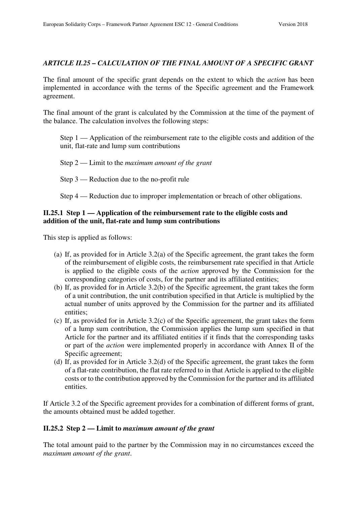### *ARTICLE II.25 – CALCULATION OF THE FINAL AMOUNT OF A SPECIFIC GRANT*

The final amount of the specific grant depends on the extent to which the *action* has been implemented in accordance with the terms of the Specific agreement and the Framework agreement.

The final amount of the grant is calculated by the Commission at the time of the payment of the balance. The calculation involves the following steps:

Step 1 — Application of the reimbursement rate to the eligible costs and addition of the unit, flat-rate and lump sum contributions

Step 2 — Limit to the *maximum amount of the grant*

Step 3 — Reduction due to the no-profit rule

Step 4 — Reduction due to improper implementation or breach of other obligations.

### **II.25.1 Step 1 — Application of the reimbursement rate to the eligible costs and addition of the unit, flat-rate and lump sum contributions**

This step is applied as follows:

- (a) If, as provided for in Article 3.2(a) of the Specific agreement, the grant takes the form of the reimbursement of eligible costs, the reimbursement rate specified in that Article is applied to the eligible costs of the *action* approved by the Commission for the corresponding categories of costs, for the partner and its affiliated entities;
- (b) If, as provided for in Article 3.2(b) of the Specific agreement, the grant takes the form of a unit contribution, the unit contribution specified in that Article is multiplied by the actual number of units approved by the Commission for the partner and its affiliated entities;
- (c) If, as provided for in Article 3.2(c) of the Specific agreement, the grant takes the form of a lump sum contribution, the Commission applies the lump sum specified in that Article for the partner and its affiliated entities if it finds that the corresponding tasks or part of the *action* were implemented properly in accordance with Annex II of the Specific agreement;
- (d) If, as provided for in Article 3.2(d) of the Specific agreement, the grant takes the form of a flat-rate contribution, the flat rate referred to in that Article is applied to the eligible costs or to the contribution approved by the Commission for the partner and its affiliated entities.

If Article 3.2 of the Specific agreement provides for a combination of different forms of grant, the amounts obtained must be added together.

### **II.25.2 Step 2 — Limit to** *maximum amount of the grant*

The total amount paid to the partner by the Commission may in no circumstances exceed the *maximum amount of the grant*.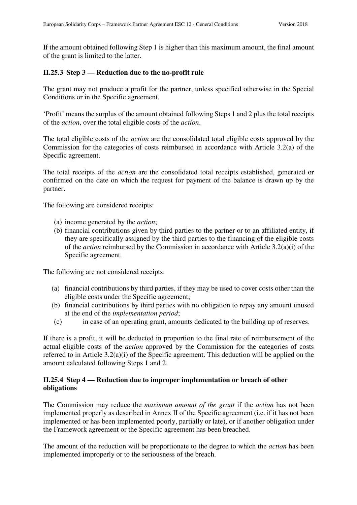If the amount obtained following Step 1 is higher than this maximum amount, the final amount of the grant is limited to the latter.

### **II.25.3 Step 3 — Reduction due to the no-profit rule**

The grant may not produce a profit for the partner, unless specified otherwise in the Special Conditions or in the Specific agreement.

'Profit' means the surplus of the amount obtained following Steps 1 and 2 plus the total receipts of the *action*, over the total eligible costs of the *action*.

The total eligible costs of the *action* are the consolidated total eligible costs approved by the Commission for the categories of costs reimbursed in accordance with Article 3.2(a) of the Specific agreement.

The total receipts of the *action* are the consolidated total receipts established, generated or confirmed on the date on which the request for payment of the balance is drawn up by the partner.

The following are considered receipts:

- (a) income generated by the *action*;
- (b) financial contributions given by third parties to the partner or to an affiliated entity, if they are specifically assigned by the third parties to the financing of the eligible costs of the *action* reimbursed by the Commission in accordance with Article 3.2(a)(i) of the Specific agreement.

The following are not considered receipts:

- (a) financial contributions by third parties, if they may be used to cover costs other than the eligible costs under the Specific agreement;
- (b) financial contributions by third parties with no obligation to repay any amount unused at the end of the *implementation period*;
- (c) in case of an operating grant, amounts dedicated to the building up of reserves.

If there is a profit, it will be deducted in proportion to the final rate of reimbursement of the actual eligible costs of the *action* approved by the Commission for the categories of costs referred to in Article 3.2(a)(i) of the Specific agreement. This deduction will be applied on the amount calculated following Steps 1 and 2.

### **II.25.4 Step 4 — Reduction due to improper implementation or breach of other obligations**

The Commission may reduce the *maximum amount of the grant* if the *action* has not been implemented properly as described in Annex II of the Specific agreement (i.e. if it has not been implemented or has been implemented poorly, partially or late), or if another obligation under the Framework agreement or the Specific agreement has been breached.

The amount of the reduction will be proportionate to the degree to which the *action* has been implemented improperly or to the seriousness of the breach.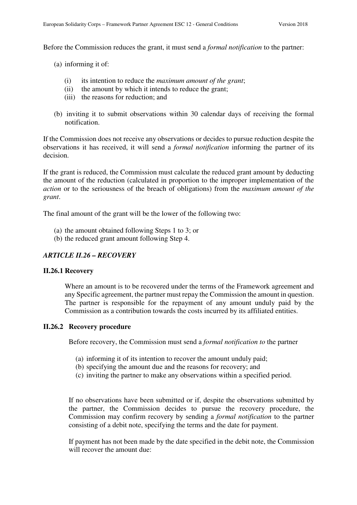Before the Commission reduces the grant, it must send a *formal notification* to the partner:

(a) informing it of:

- (i) its intention to reduce the *maximum amount of the grant*;
- (ii) the amount by which it intends to reduce the grant;
- (iii) the reasons for reduction; and
- (b) inviting it to submit observations within 30 calendar days of receiving the formal notification.

If the Commission does not receive any observations or decides to pursue reduction despite the observations it has received, it will send a *formal notification* informing the partner of its decision.

If the grant is reduced, the Commission must calculate the reduced grant amount by deducting the amount of the reduction (calculated in proportion to the improper implementation of the *action* or to the seriousness of the breach of obligations) from the *maximum amount of the grant*.

The final amount of the grant will be the lower of the following two:

- (a) the amount obtained following Steps 1 to 3; or
- (b) the reduced grant amount following Step 4.

### *ARTICLE II.26 – RECOVERY*

#### **II.26.1 Recovery**

Where an amount is to be recovered under the terms of the Framework agreement and any Specific agreement, the partner must repay the Commission the amount in question. The partner is responsible for the repayment of any amount unduly paid by the Commission as a contribution towards the costs incurred by its affiliated entities.

#### **II.26.2 Recovery procedure**

Before recovery, the Commission must send a *formal notification to* the partner

- (a) informing it of its intention to recover the amount unduly paid;
- (b) specifying the amount due and the reasons for recovery; and
- (c) inviting the partner to make any observations within a specified period.

 If no observations have been submitted or if, despite the observations submitted by the partner, the Commission decides to pursue the recovery procedure, the Commission may confirm recovery by sending a *formal notification* to the partner consisting of a debit note, specifying the terms and the date for payment.

If payment has not been made by the date specified in the debit note, the Commission will recover the amount due: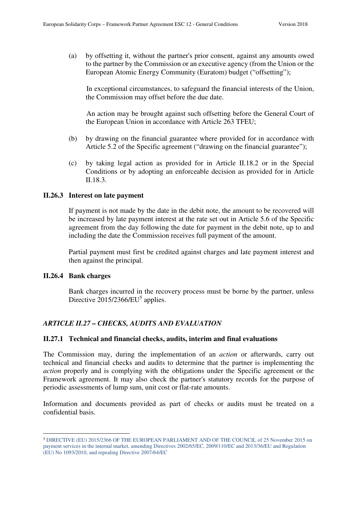(a) by offsetting it, without the partner's prior consent, against any amounts owed to the partner by the Commission or an executive agency (from the Union or the European Atomic Energy Community (Euratom) budget ("offsetting");

In exceptional circumstances, to safeguard the financial interests of the Union, the Commission may offset before the due date.

An action may be brought against such offsetting before the General Court of the European Union in accordance with Article 263 TFEU;

- (b) by drawing on the financial guarantee where provided for in accordance with Article 5.2 of the Specific agreement ("drawing on the financial guarantee");
- (c) by taking legal action as provided for in Article II.18.2 or in the Special Conditions or by adopting an enforceable decision as provided for in Article II.18.3.

#### **II.26.3 Interest on late payment**

 If payment is not made by the date in the debit note, the amount to be recovered will be increased by late payment interest at the rate set out in Article 5.6 of the Specific agreement from the day following the date for payment in the debit note, up to and including the date the Commission receives full payment of the amount.

Partial payment must first be credited against charges and late payment interest and then against the principal.

#### **II.26.4 Bank charges**

 $\overline{a}$ 

Bank charges incurred in the recovery process must be borne by the partner, unless Directive 2015/2366/EU<sup>5</sup> applies.

### *ARTICLE II.27 – CHECKS, AUDITS AND EVALUATION*

#### **II.27.1 Technical and financial checks, audits, interim and final evaluations**

The Commission may, during the implementation of an *action* or afterwards, carry out technical and financial checks and audits to determine that the partner is implementing the *action* properly and is complying with the obligations under the Specific agreement or the Framework agreement. It may also check the partner's statutory records for the purpose of periodic assessments of lump sum, unit cost or flat-rate amounts.

Information and documents provided as part of checks or audits must be treated on a confidential basis.

<sup>5</sup> DIRECTIVE (EU) 2015/2366 OF THE EUROPEAN PARLIAMENT AND OF THE COUNCIL of 25 November 2015 on payment services in the internal market, amending Directives 2002/65/EC, 2009/110/EC and 2013/36/EU and Regulation (EU) No 1093/2010, and repealing Directive 2007/64/EC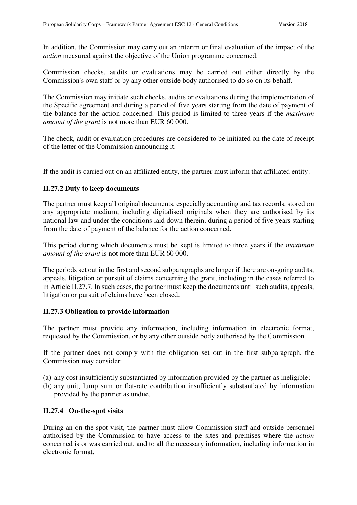In addition, the Commission may carry out an interim or final evaluation of the impact of the *action* measured against the objective of the Union programme concerned.

Commission checks, audits or evaluations may be carried out either directly by the Commission's own staff or by any other outside body authorised to do so on its behalf.

The Commission may initiate such checks, audits or evaluations during the implementation of the Specific agreement and during a period of five years starting from the date of payment of the balance for the action concerned. This period is limited to three years if the *maximum amount of the grant* is not more than EUR 60 000.

The check, audit or evaluation procedures are considered to be initiated on the date of receipt of the letter of the Commission announcing it.

If the audit is carried out on an affiliated entity, the partner must inform that affiliated entity.

# **II.27.2 Duty to keep documents**

The partner must keep all original documents, especially accounting and tax records, stored on any appropriate medium, including digitalised originals when they are authorised by its national law and under the conditions laid down therein, during a period of five years starting from the date of payment of the balance for the action concerned.

This period during which documents must be kept is limited to three years if the *maximum amount of the grant* is not more than EUR 60 000.

The periods set out in the first and second subparagraphs are longer if there are on-going audits, appeals, litigation or pursuit of claims concerning the grant, including in the cases referred to in Article II.27.7. In such cases, the partner must keep the documents until such audits, appeals, litigation or pursuit of claims have been closed.

### **II.27.3 Obligation to provide information**

The partner must provide any information, including information in electronic format, requested by the Commission, or by any other outside body authorised by the Commission.

If the partner does not comply with the obligation set out in the first subparagraph, the Commission may consider:

- (a) any cost insufficiently substantiated by information provided by the partner as ineligible;
- (b) any unit, lump sum or flat-rate contribution insufficiently substantiated by information provided by the partner as undue.

# **II.27.4 On-the-spot visits**

During an on-the-spot visit, the partner must allow Commission staff and outside personnel authorised by the Commission to have access to the sites and premises where the *action*  concerned is or was carried out, and to all the necessary information, including information in electronic format.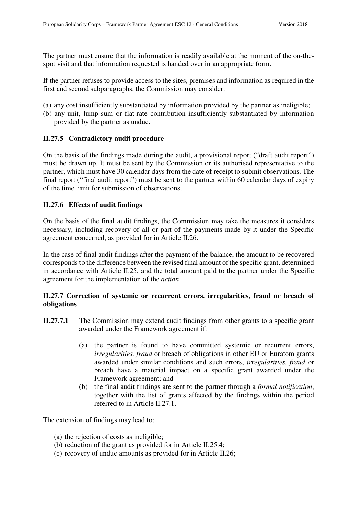The partner must ensure that the information is readily available at the moment of the on-thespot visit and that information requested is handed over in an appropriate form.

If the partner refuses to provide access to the sites, premises and information as required in the first and second subparagraphs, the Commission may consider:

- (a) any cost insufficiently substantiated by information provided by the partner as ineligible;
- (b) any unit, lump sum or flat-rate contribution insufficiently substantiated by information provided by the partner as undue.

# **II.27.5 Contradictory audit procedure**

On the basis of the findings made during the audit, a provisional report ("draft audit report") must be drawn up. It must be sent by the Commission or its authorised representative to the partner, which must have 30 calendar days from the date of receipt to submit observations. The final report ("final audit report") must be sent to the partner within 60 calendar days of expiry of the time limit for submission of observations.

## **II.27.6 Effects of audit findings**

On the basis of the final audit findings, the Commission may take the measures it considers necessary, including recovery of all or part of the payments made by it under the Specific agreement concerned, as provided for in Article II.26.

In the case of final audit findings after the payment of the balance, the amount to be recovered corresponds to the difference between the revised final amount of the specific grant, determined in accordance with Article II.25, and the total amount paid to the partner under the Specific agreement for the implementation of the *action*.

## **II.27.7 Correction of systemic or recurrent errors, irregularities, fraud or breach of obligations**

- **II.27.7.1** The Commission may extend audit findings from other grants to a specific grant awarded under the Framework agreement if:
	- (a) the partner is found to have committed systemic or recurrent errors, *irregularities, fraud* or breach of obligations in other EU or Euratom grants awarded under similar conditions and such errors, *irregularities, fraud* or breach have a material impact on a specific grant awarded under the Framework agreement; and
	- (b) the final audit findings are sent to the partner through a *formal notification*, together with the list of grants affected by the findings within the period referred to in Article II.27.1.

The extension of findings may lead to:

- (a) the rejection of costs as ineligible;
- (b) reduction of the grant as provided for in Article II.25.4;
- (c) recovery of undue amounts as provided for in Article II.26;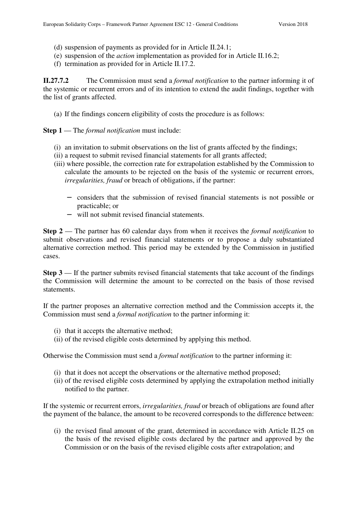- (d) suspension of payments as provided for in Article II.24.1;
- (e) suspension of the *action* implementation as provided for in Article II.16.2;
- (f) termination as provided for in Article II.17.2.

**II.27.7.2** The Commission must send a *formal notification* to the partner informing it of the systemic or recurrent errors and of its intention to extend the audit findings, together with the list of grants affected.

(a) If the findings concern eligibility of costs the procedure is as follows:

**Step 1** — The *formal notification* must include:

- (i) an invitation to submit observations on the list of grants affected by the findings;
- (ii) a request to submit revised financial statements for all grants affected;
- (iii) where possible, the correction rate for extrapolation established by the Commission to calculate the amounts to be rejected on the basis of the systemic or recurrent errors, *irregularities, fraud* or breach of obligations, if the partner:
	- − considers that the submission of revised financial statements is not possible or practicable; or
	- − will not submit revised financial statements.

**Step 2** — The partner has 60 calendar days from when it receives the *formal notification* to submit observations and revised financial statements or to propose a duly substantiated alternative correction method. This period may be extended by the Commission in justified cases.

**Step 3** — If the partner submits revised financial statements that take account of the findings the Commission will determine the amount to be corrected on the basis of those revised statements.

If the partner proposes an alternative correction method and the Commission accepts it, the Commission must send a *formal notification* to the partner informing it:

- (i) that it accepts the alternative method;
- (ii) of the revised eligible costs determined by applying this method.

Otherwise the Commission must send a *formal notification* to the partner informing it:

- (i) that it does not accept the observations or the alternative method proposed;
- (ii) of the revised eligible costs determined by applying the extrapolation method initially notified to the partner.

If the systemic or recurrent errors, *irregularities, fraud* or breach of obligations are found after the payment of the balance, the amount to be recovered corresponds to the difference between:

(i) the revised final amount of the grant, determined in accordance with Article II.25 on the basis of the revised eligible costs declared by the partner and approved by the Commission or on the basis of the revised eligible costs after extrapolation; and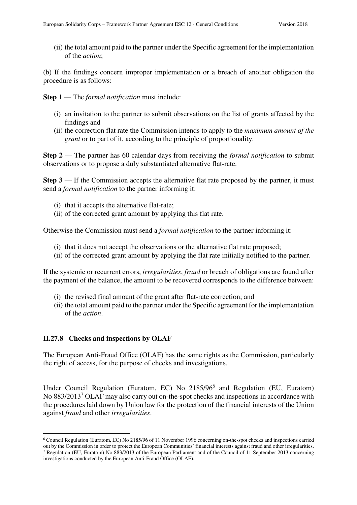(ii) the total amount paid to the partner under the Specific agreement for the implementation of the *action*;

(b) If the findings concern improper implementation or a breach of another obligation the procedure is as follows:

**Step 1** — The *formal notification* must include:

- (i) an invitation to the partner to submit observations on the list of grants affected by the findings and
- (ii) the correction flat rate the Commission intends to apply to the *maximum amount of the grant* or to part of it, according to the principle of proportionality.

**Step 2** — The partner has 60 calendar days from receiving the *formal notification* to submit observations or to propose a duly substantiated alternative flat-rate.

**Step 3** — If the Commission accepts the alternative flat rate proposed by the partner, it must send a *formal notification* to the partner informing it:

- (i) that it accepts the alternative flat-rate;
- (ii) of the corrected grant amount by applying this flat rate.

Otherwise the Commission must send a *formal notification* to the partner informing it:

- (i) that it does not accept the observations or the alternative flat rate proposed;
- (ii) of the corrected grant amount by applying the flat rate initially notified to the partner.

If the systemic or recurrent errors, *irregularities*, *fraud* or breach of obligations are found after the payment of the balance, the amount to be recovered corresponds to the difference between:

- (i) the revised final amount of the grant after flat-rate correction; and
- (ii) the total amount paid to the partner under the Specific agreement for the implementation of the *action*.

### **II.27.8 Checks and inspections by OLAF**

 $\overline{a}$ 

The European Anti-Fraud Office (OLAF) has the same rights as the Commission, particularly the right of access, for the purpose of checks and investigations.

Under Council Regulation (Euratom, EC) No 2185/96<sup>6</sup> and Regulation (EU, Euratom) No 883/2013<sup>7</sup> OLAF may also carry out on-the-spot checks and inspections in accordance with the procedures laid down by Union law for the protection of the financial interests of the Union against *fraud* and other *irregularities*.

<sup>6</sup> Council Regulation (Euratom, EC) No 2185/96 of 11 November 1996 concerning on-the-spot checks and inspections carried out by the Commission in order to protect the European Communities' financial interests against fraud and other irregularities. 7 Regulation (EU, Euratom) No 883/2013 of the European Parliament and of the Council of 11 September 2013 concerning investigations conducted by the European Anti-Fraud Office (OLAF).